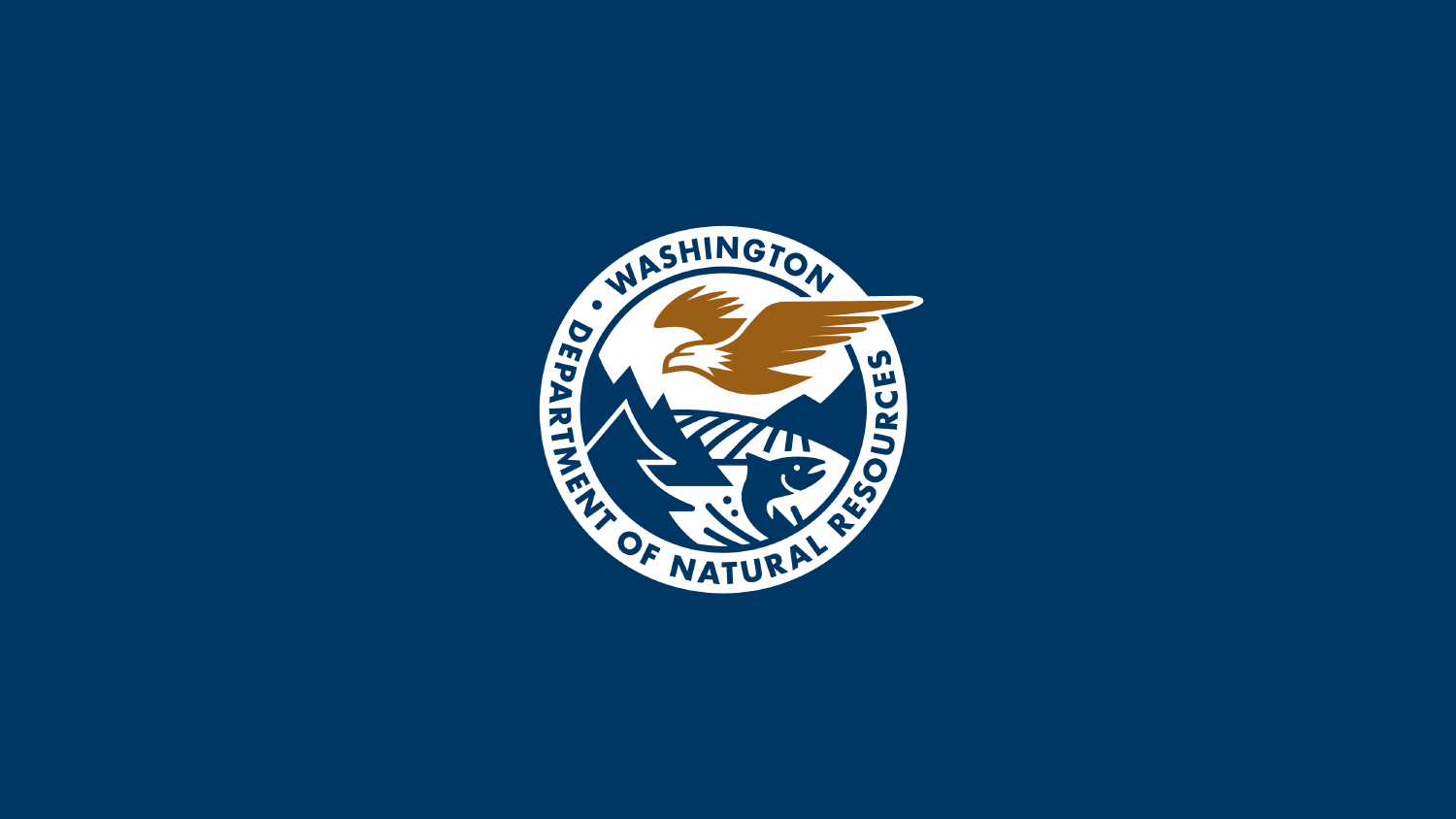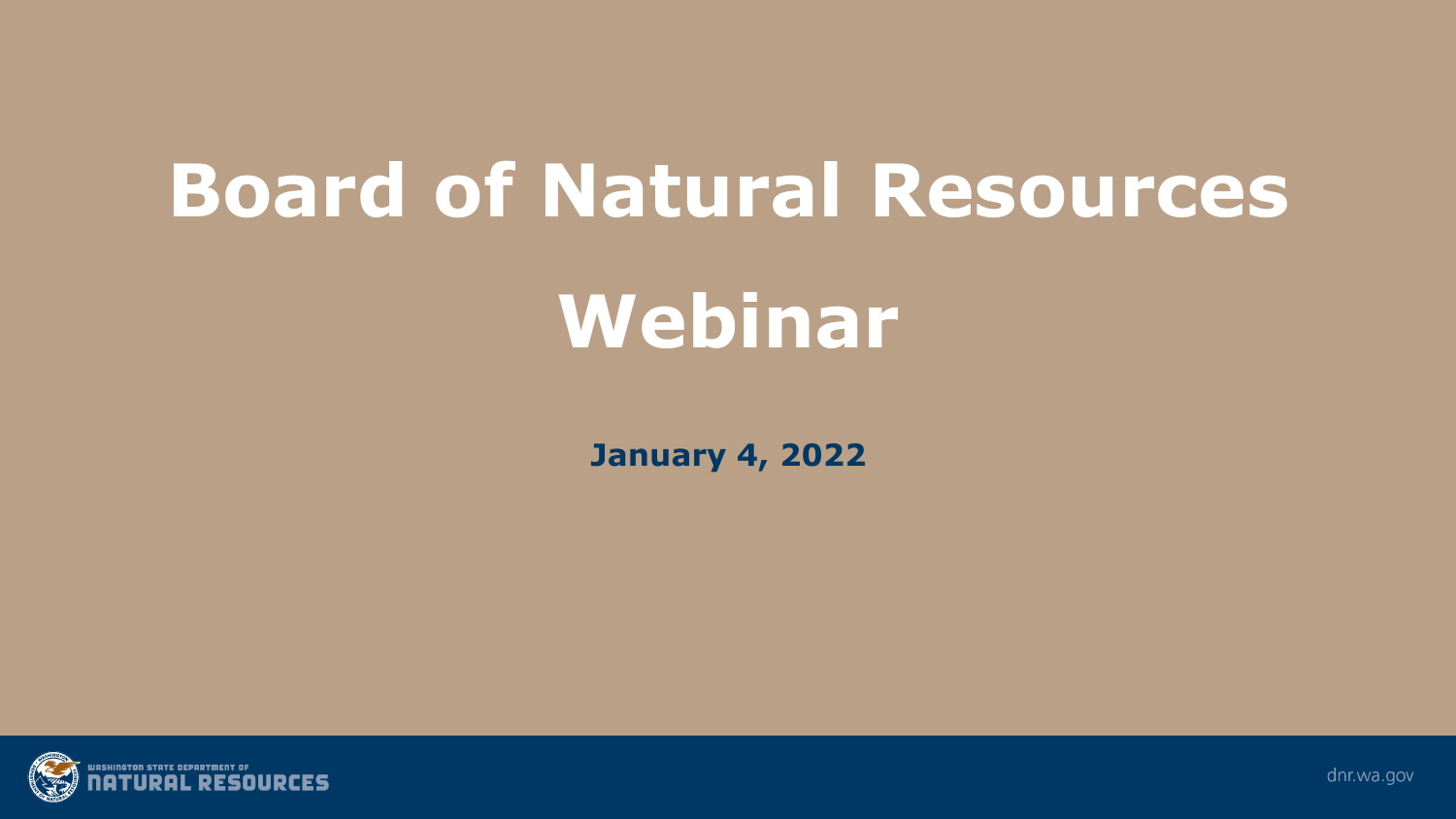# **Board of Natural Resources**

## **Webinar**

**January 4, 2022**



dnr.wa.gov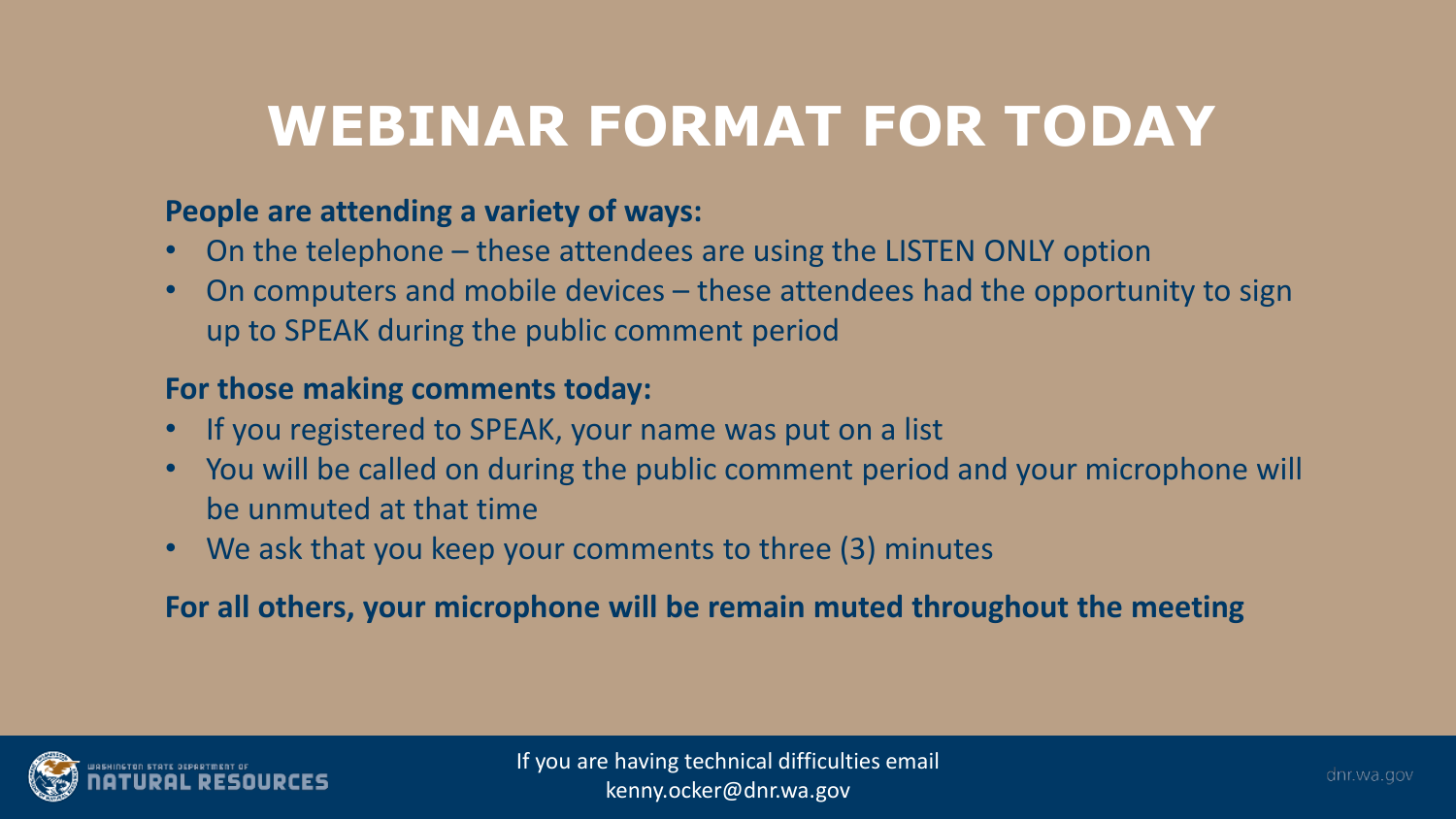### **WEBINAR FORMAT FOR TODAY**

#### **People are attending a variety of ways:**

- On the telephone these attendees are using the LISTEN ONLY option
- On computers and mobile devices these attendees had the opportunity to sign up to SPEAK during the public comment period

#### **For those making comments today:**

- If you registered to SPEAK, your name was put on a list
- You will be called on during the public comment period and your microphone will be unmuted at that time
- We ask that you keep your comments to three (3) minutes

**For all others, your microphone will be remain muted throughout the meeting** 

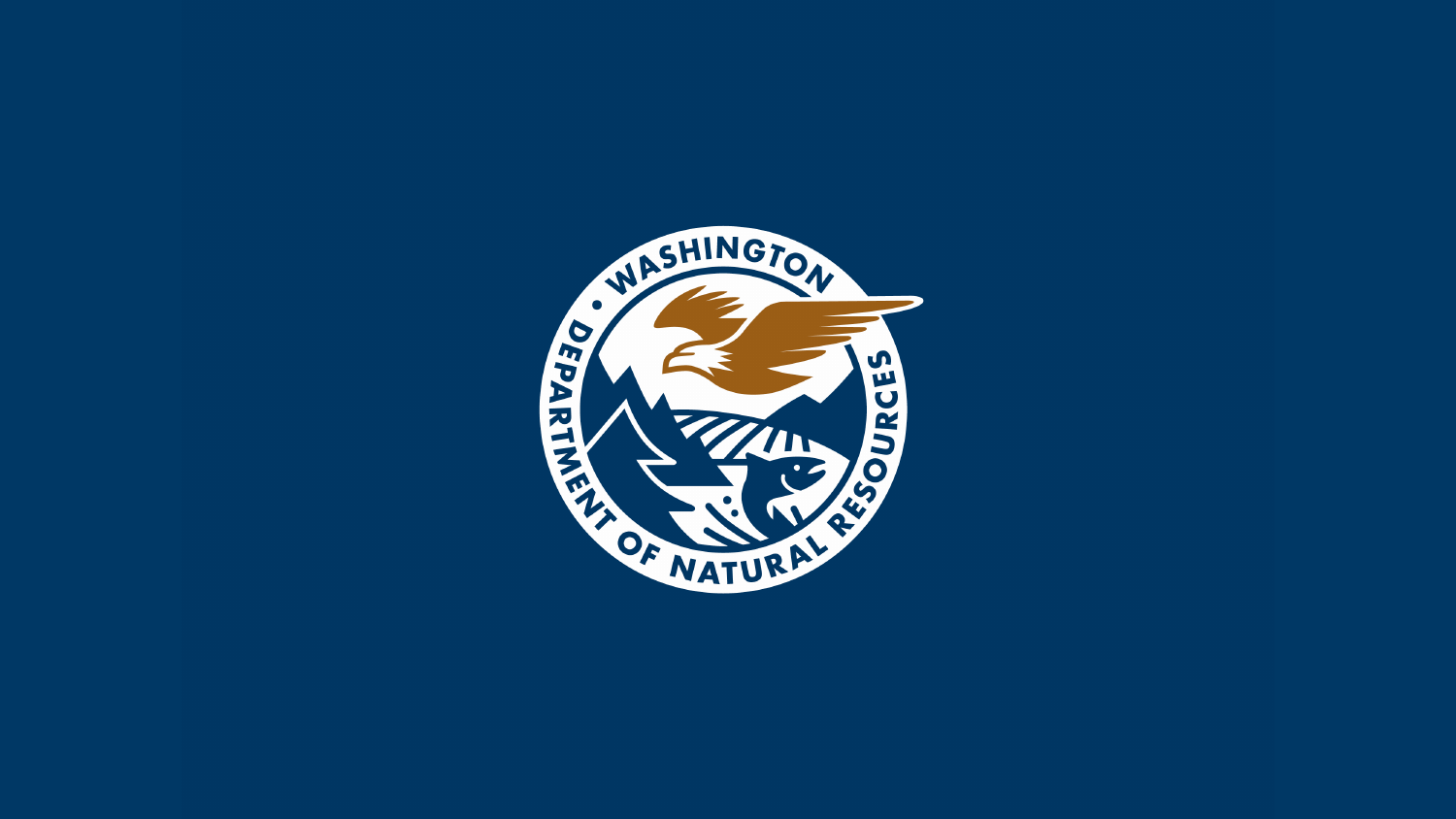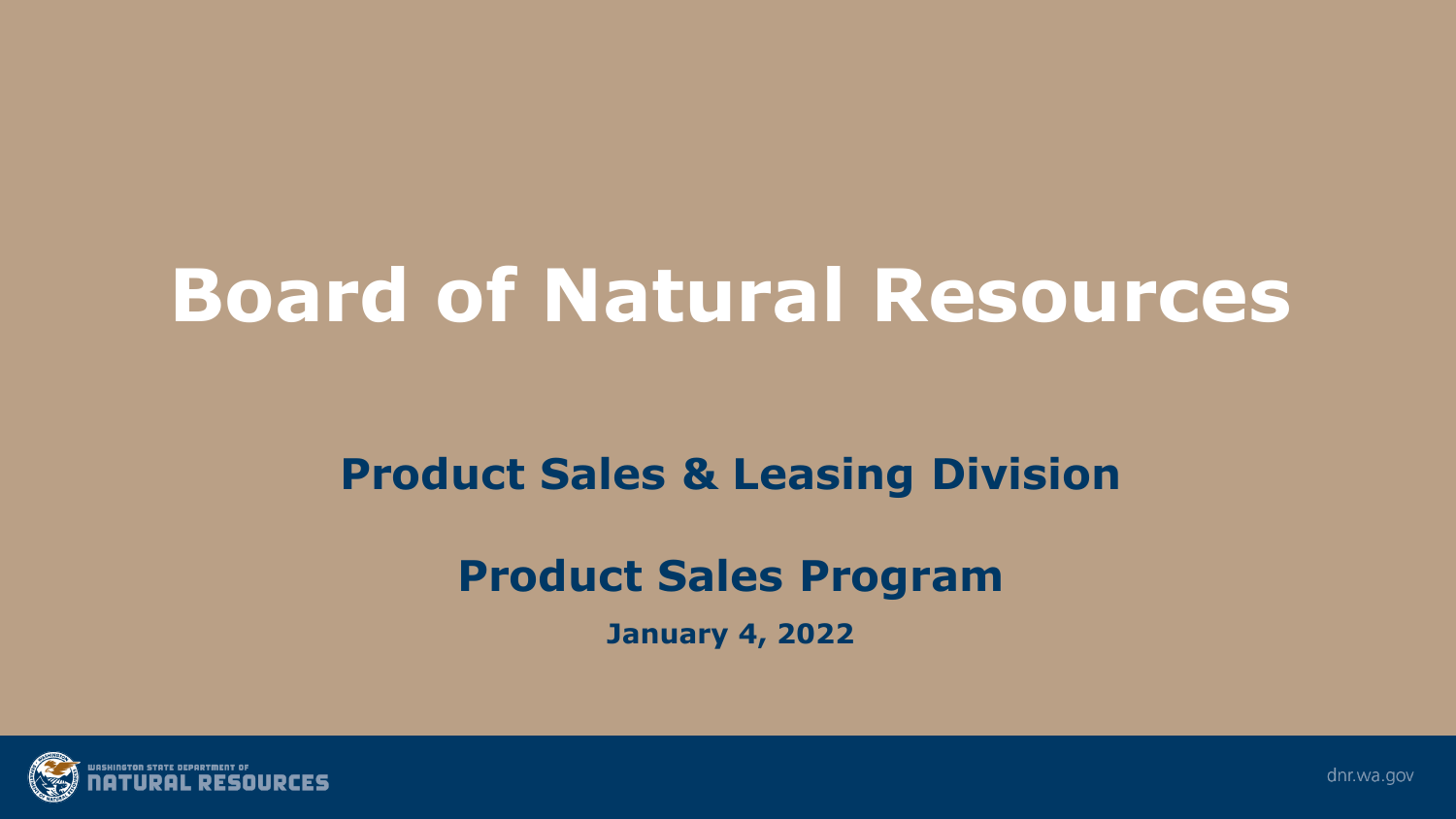# **Board of Natural Resources**

#### **Product Sales & Leasing Division**

#### **Product Sales Program**

**January 4, 2022**



dnr.wa.gov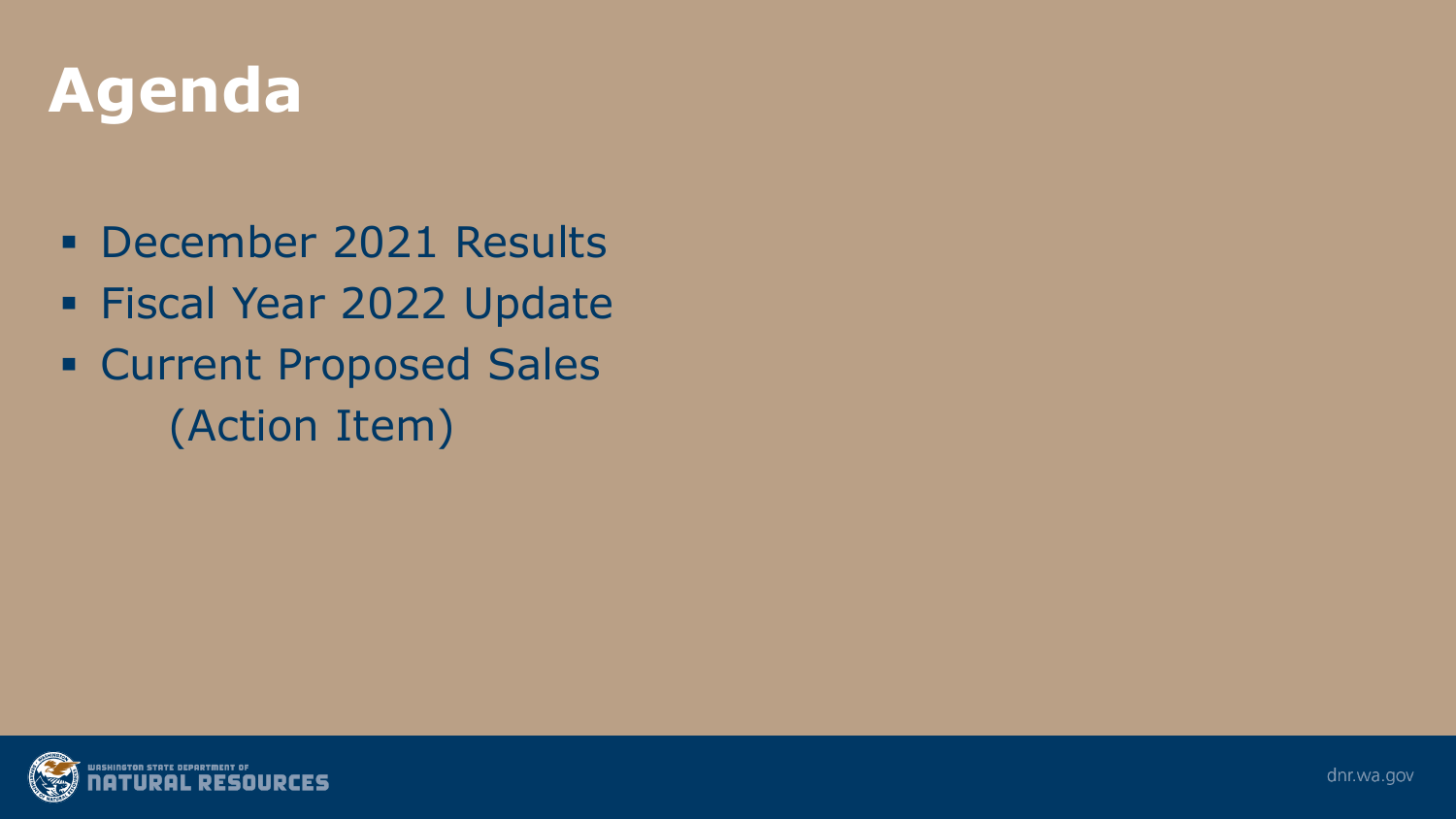### **Agenda**

- **December 2021 Results**
- **Fiscal Year 2022 Update**
- **Exercicle Proposed Sales** (Action Item)

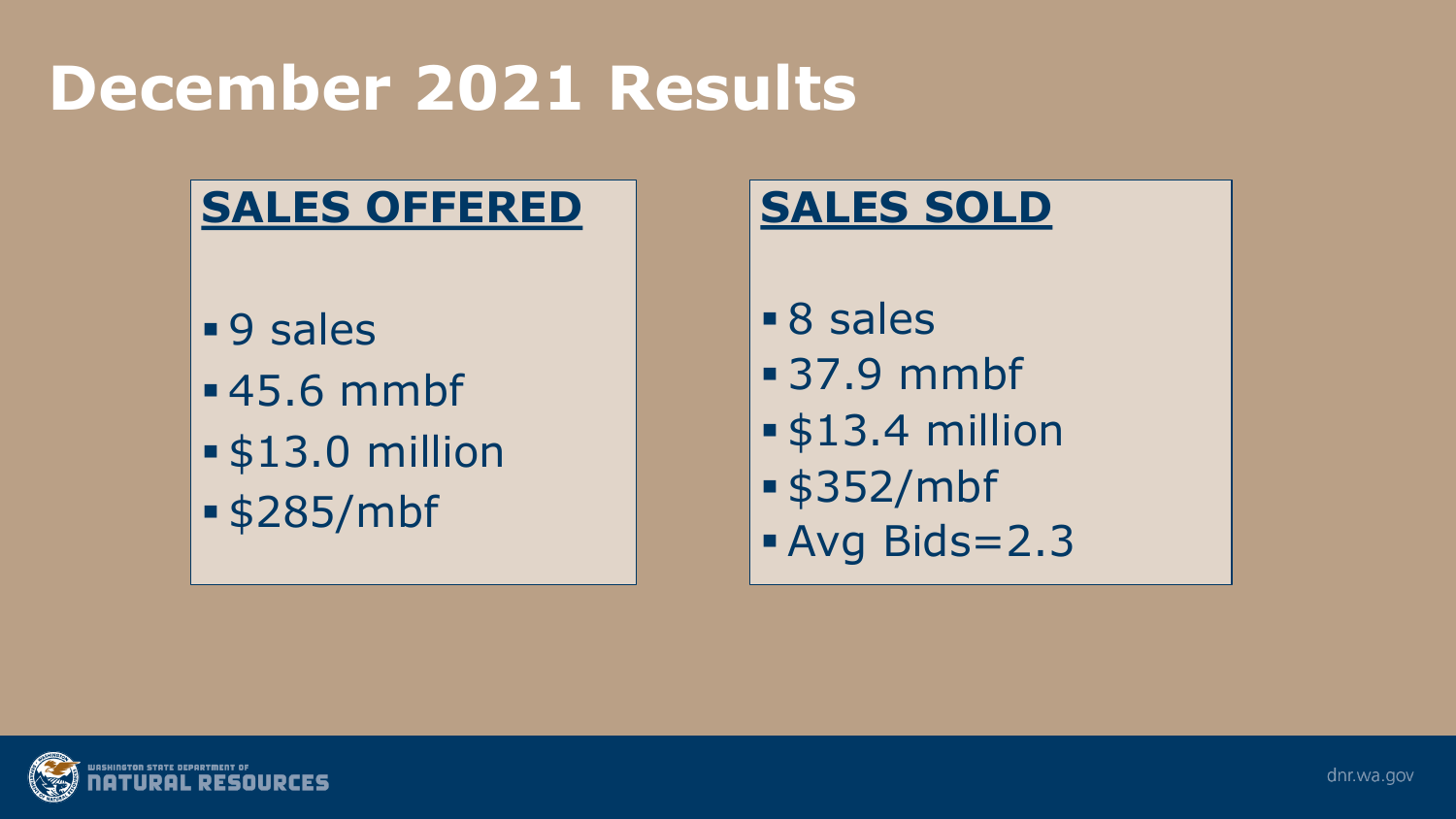## **December 2021 Results**

### **SALES OFFERED**

**9** sales 45.6 mmbf \$13.0 million \$285/mbf

#### **SALES SOLD**

- 8 sales
- 37.9 mmbf
- \$13.4 million
- \$352/mbf
- Avg Bids=2.3

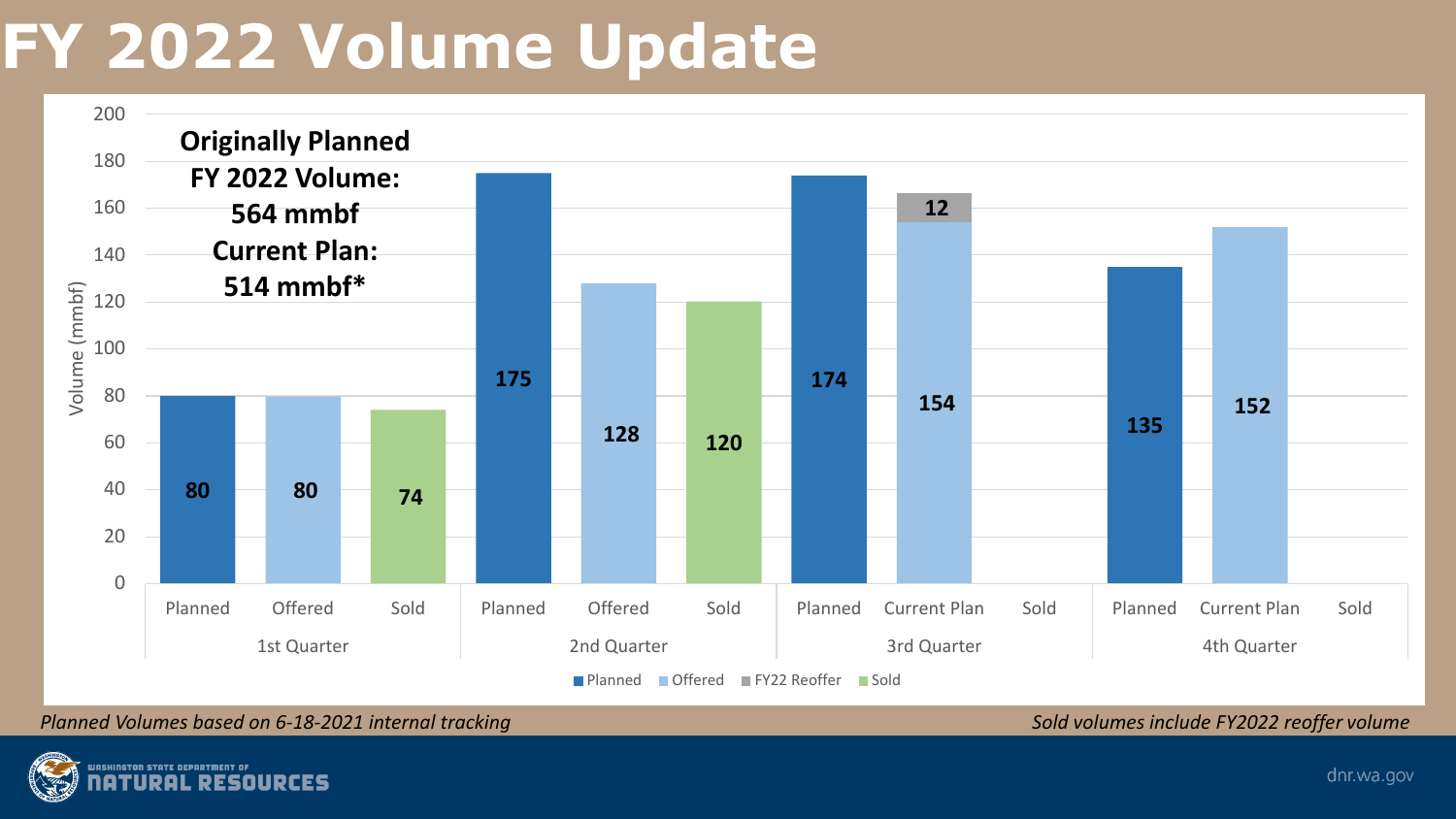## **FY 2022 Volume Update**



*Planned Volumes based on 6-18-2021 internal tracking Sold volumes include FY2022 reoffer volume* 

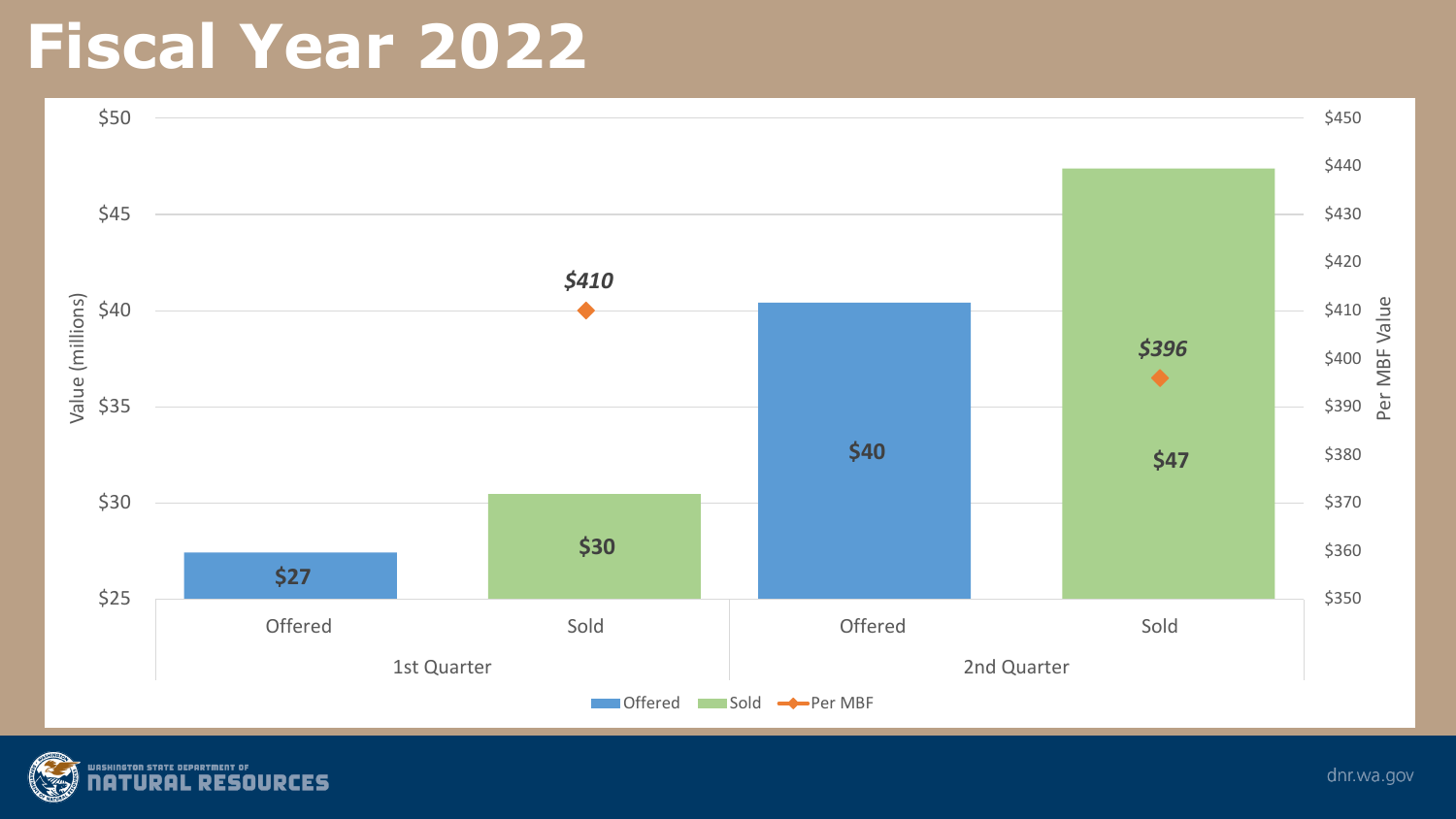### **Fiscal Year 2022**



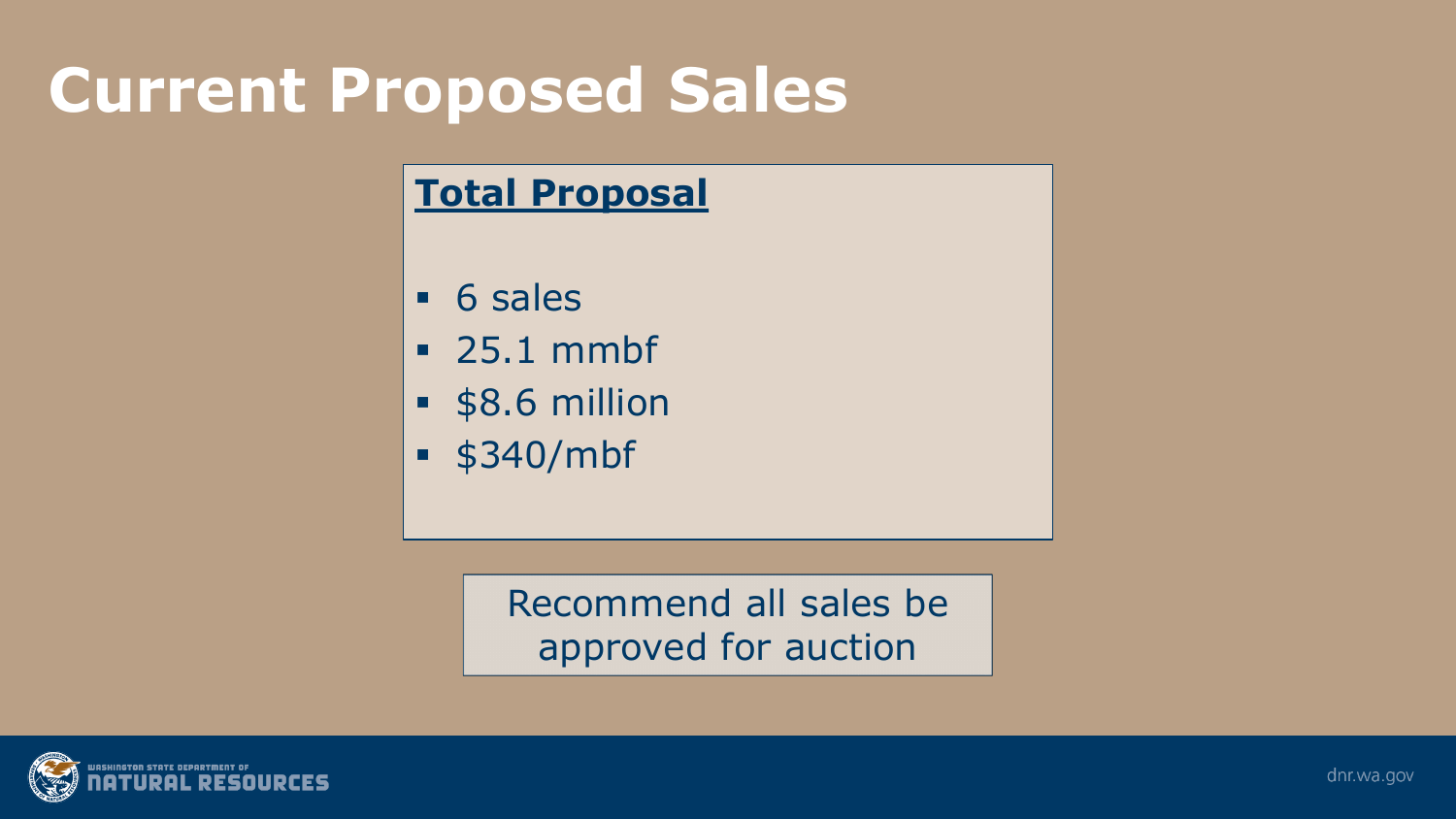### **Current Proposed Sales**

#### **Total Proposal**

- 6 sales
- **25.1 mmbf**
- **58.6 million**
- \$340/mbf

Recommend all sales be approved for auction